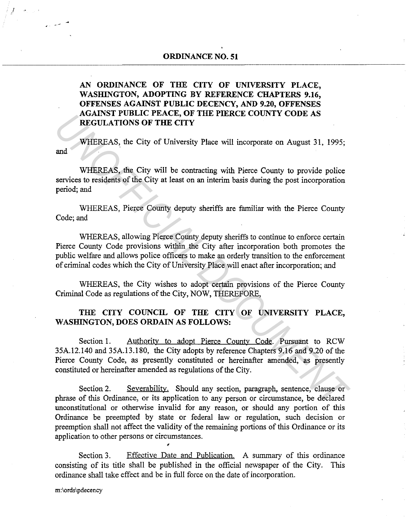# **AN ORDINANCE OF THE CITY OF UNIVERSITY PLACE,**  WASHINGTON, ADOPTING BY REFERENCE CHAPTERS 9.16, **OFFENSES AGAINST PUBLIC DECENCY, AND 9.20, OFFENSES AGAINST PUBLIC PEACE, OF THE PIERCE COUNTY CODE AS REGULATIONS OF THE CITY**

and WHEREAS, the City of University Place will incorporate on August 31, 1995;

WHEREAS, the City will be contracting with Pierce County to provide police services to residents of the City at least on an interim basis during the post incorporation period; and

WHEREAS, Pierce County deputy sheriffs are familiar with the Pierce County Code; and

WHEREAS, allowing Pierce County deputy sheriffs to continue to enforce certain Pierce County Code provisions within the City after incorporation both promotes the public welfare and allows police officers to make an orderly transition to the enforcement of criminal codes which the City of University Place will enact after incorporation; and

WHEREAS, the City wishes to adopt certain provisions of the Pierce County Criminal Code as regulations of the City, NOW, THEREFORE,

# **THE CITY COUNCIL OF THE CITY OF UNIVERSITY PLACE,**  WASHINGTON, DOES ORDAIN AS FOLLOWS:

Section 1. Authority to adopt Pierce County Code. Pursuant to RCW 35A.12.140 and 35A.13.180, the City adopts by reference Chapters 9.16 and 9.20 of the Pierce County Code, as presently constituted or hereinafter amended, as presently constituted or hereinafter amended as regulations of the City. **EXAMISY POLIC FRACE, OF THE FILKCE COUNTY CODE AS<br>
<b>EXAMISY POLIC FRACE, OF THE FILKCE COUNTY CODE AS**<br> **WHEREAS**, the City of University Place will incorporate on August 31, 1995;<br>
and<br> **WHEREAS**, the City at least on an

Section 2. Severability. Should any section, paragraph, sentence, clause or phrase of this Ordinance, or its application to any person or circumstance, be declared unconstitutional or otherwise invalid for any reason, or should any portion of this Ordinance be preempted by state or federal law or regulation, such decision or preemption shall not affect the validity of the remaining portions of this Ordinance or its application to other persons or circumstances.

Section 3. Effective Date and Publication. A summary of this ordinance consisting of its title shall be published in the official newspaper of the City. This ordinance shall take effect and be in full force on the date of incorporation.

1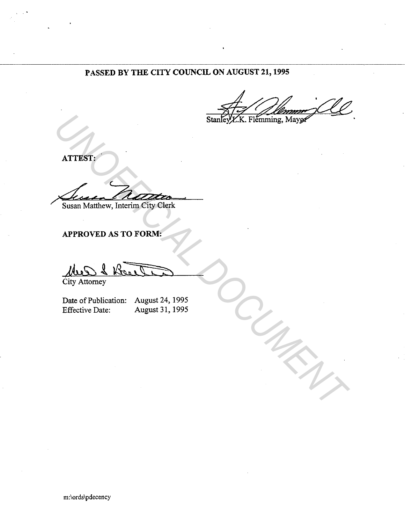# **PASSED BY THE CITY COUNCIL ON AUGUST 21, 1995**

**ATTEST:** 

..

**Susan Matthew, Interim City Clerk** Stanley X.K. Filemming, Mayo<sup>1</sup><br>
ATTEST:<br>
Susan Matthew, Interim City Clerk<br>
APPROVED AS TO FORM:<br>
City Attorney<br>
Date of Publication: August 24, 1995<br>
Effective Date: August 31, 1995

**APPROVED AS TO FORM:** 

City Attorney

Date of Publication: August 24, 1995<br>Effective Date: August 31, 1995 August 31, 1995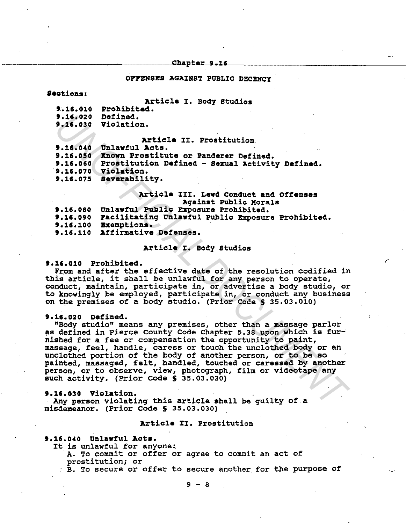## Chapter 9.16

#### OFFENSES AGAINST PUBLIC DECENCY

## 8ections1

# Article I. Body Studios

t.15.010 Prohibited.

t.15.020 Defined. t.15.030 Violation.

# Article II. Prostitution<br>Unlawful Acts.

t.15.040

9.16.040 Unlawful Acts.<br>9.16.050 Xnown Prostitute or Panderer Defined.

t.15.050 Prostitution Defined - Sexual Activity Defined.

t.15.070 Violation.

t.15.075 severability.

# Article III. Lewd Conduct and Offenses Aqainst PUblic Morals

,-

| -------------------------                                  |
|------------------------------------------------------------|
| 9.16.080 Unlawful Public Exposure Prohibited.              |
| 9.16.090 Facilitating Unlawful Public Exposure Prohibited. |
| 9.16.100 Exemptions.                                       |
| 9.16.110 Affirmative Defenses.                             |

# Article I. Body studios

## t.15.010 Prohibited.

From and after the effective date of the resolution codified in this article, it shall be unlawful for any person to operate, conduct, maintain, participate in, or advertise a body studio, or. to knowingly be employed, participate in, or conduct any business on the premises of a body studio. (Prior Code S 35.03.010)

#### t.15.020 Defined.

"Body studio" means any premises, other than a massaqe parlor as defined in Pierce County Code Chapter 5.38 upon which is furnished for a fee or compensation the opportunity to paint, massaqe, feel, handle, caress or touch the unclothed body or an unclothed portion of the body of another person, or to be so painted, massaqed, felt, handled, touched or caressed by another person, or to observe, view, photograph, film or videotape any such activity. (Prior Code S 35.03.020) 9.16.020 Defined.<br>
9.16.020 Violation.<br>
16.030 Violation.<br>
17.630 Winding Activity or Prostitution Paints of Panders Defined.<br>
9.16.030 Known Prostitution Defined - Sexual Activity Defined.<br>
9.16.070 Violation.<br>
9.16.070 V

#### t.15.030 Violation.

Any person violatinq this article shall be quilty of a misdemeanor. (Prior Code S 35.03.030)

# Article II. Prostitution

# t.15.040 Unlawful Acts.

It is unlawful for anyone:

A. To commit or offer or agree to commit an act of prostitution; or

B. To secure or offer to secure another for the purpose of

 $9 - 8$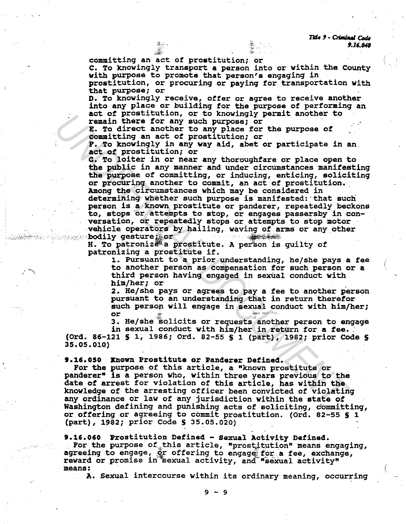Tide 9 - Criminal Code 9.16.040

committing an act of prostitution; or

C. To knowingly transport a person into or within the County with purpose to promote that person's engaging in

prostitution, or procuring or paying for transportation with that purpose; or

D. To knowingly receive, offer or agree to receive another into any place or building for the purpose of performing an act of prostitution, or to knowingly permit another to remain there for any such purpose; or

E. To direct another to any place for the purpose of committing an act of prostitution; or

F. To knowingly in any way aid, abet or participate in an. act of prostitution; or

G. To loiter in or near any thoroughfare or place open to the public in any manner and under circumstances manifesting the purpose of committing, or inducing, enticing, soliciting or procuring another to commit, an act of prostitution. Among the circumstances which may be considered in determining whether such purpose is manifested: that such person is a known prostitute or panderer, repeatedly beckons to, stops or attempts to stop, or engages passersby in conversation, or repeatedly stops or attempts to stop motor From the control of the purple for the purpose of<br> **Example 1** and the form of the purpose of<br> **Example of the purpose of**<br> **Example of the purpose of**<br> **Contribution** and the from the purpose of<br> **P.** To knowingly in any

vehicle operators by hailing, waving of arms or any other<br>bodily gesture that bodily gesture; or<br>H. To patronize a prostitute. A person is guilty of

patronizing a prostitute if.

1. Pursuant to a prior understanding, he/she pays a fee to another person as compensation for such person or a third person having engaged in sexual conduct with him/her; or

2. He/she pays or agrees to pay a fee to another person pursuant to an understanding that in return therefor such person will engage in sexual conduct with him/her; or

or<br>3. He/she solicits or requests another person to engage<br>in sexual conduct with him/her in return for <mark>a fee.</mark>

in sexual conduct with him/her in return for a fee. (Ord. 86-121 S 1, 1986; Ord. 82-55 S 1 (part), 1982; prior Code S 35.05.010)

9.16.050 Xnown Prostitute or Panderer Defined.

For the purpose of this article, a "known prostitute or panderer" is a person who, within three years previous to the date of arrest for violation of this article, has within the knowledge of the arresting officer been convicted of violating any ordinance or law of any jurisdiction within the state of Washington defining and punishing acts of soliciting, committing, or offering or agreeing to commit prostitution. (Ord. 82-55 S 1 (part), 1982; prior Code S 35~05.020)

9.16.060 Prostitution Defined - Sexual Activity Defined.<br>For the purpose of this article, "prostitution" means engaging, agreeing to engage, or offering to engage for a fee, exchange, reward or promise in sexual activity, and "sexual activity"

A. Sexual intercourse within its ordinary meaning, occurring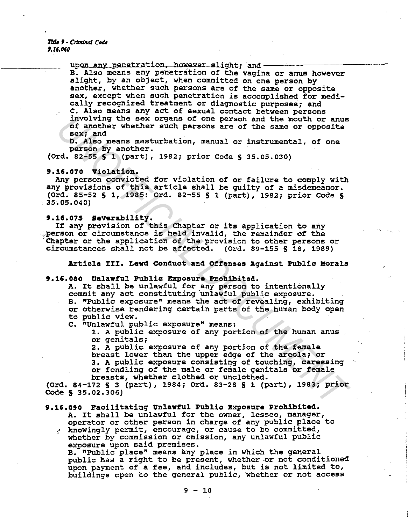Title 9 - Criminal Code f.16.060

# upon any penetration, however slight; and

B. Also means any penetration of the vagina or anus however slight, by an object, when committed on one person by another, whether such persons are of the same or opposite sex, except when such penetration is accomplished for medically recognized treatment or diagnostic purposes; and c. Also means any act of sexual contact between persons involving the sex organs of one person and the mouth or anus of another whether such persons are of the same or opposite sex; and

D. Also means masturbation, manual or instrumental, of one person by another.

(Ord. 82-55 § 1 (part), 1982; prior Code § 35.05.030)

# 9.15.070 Violation.

Any person convicted for violation of or failure to comply with any provisions of this article shall be guilty of a misdemeanor. (Ord. 85-52 S l, 1985: Ord. 82-55 S 1 (part), 1982; prior Code S 35.05.040)

## 9.15.075 Severability.

If any provision of this Chapter or its application to any ,.person or circumstance is held invalid, the remainder of the Chapter or the application of the provision to other persons or circumstances shall not be affected. (Ord. 89-155 S 18, 1989)

Article III. Lewd Conduct and Offenses Against PUblic Morals

# 9.16.080 Unlawful Public Exposure Prohibited.

A. It shall be unlawful for any person to intentionally commit any act constituting unlawful public exposure. B. "Public exposure" means the act of revealing, exhibiting or otherwise rendering certain parts of the human body open to public view. <sup>1</sup> involving the sex organs of one person and the mouth or anus<br> *USA another whether such persons* are of the small or opposite<br> **D. Also means masturbation**, manual or instrumental, of one<br> **PERSON DEATS (2014)**, 1982

c. "Unlawful public exposure" means:

1. A public exposure of any portion of the human anus or genitals;

2. A public exposure of any portion of the female breast lower than the upper edge of the areola; or 3. A public exposure consisting of touching, caressing or fondling of the male or female genitals or female breasts, whether clothed or unclothed.

(Ord. 84-172 S 3 (part), 1984; Ord. 83-28 S 1 (part), 1983; prior Code S 35.02.306)

# 9.16.090 Facilitating Unlawful Public Exposure Prohibited.

A. It shall be unlawful for the owner, lessee, manager, operator or other person in charge of any public place to ... knowingly permit, encourage, or cause to be committed, whether by commission or omission, any unlawful public

exposure upon said premises.<br>B. "Public place" means any place in which the general public has a right to be present, whether or not conditioned upon payment of a fee, and includes, but is not limited to, buildings open to the general public, whether or not access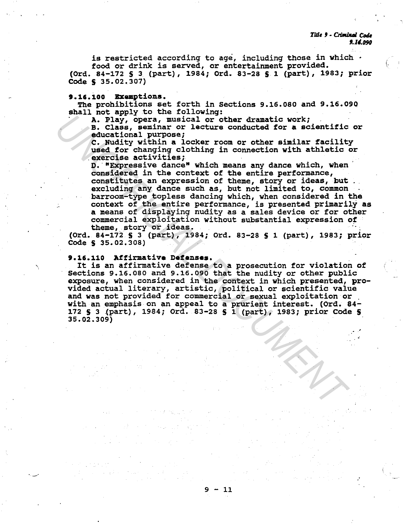Title 9 - Criminal Code 9.14.090

' ,.

.·

is restricted according to age, including those in which  $\cdot$ food or drink is served, or entertainment provided.

(Ord. 84-172 **S** 3 (part), 1984; Ord. 83-28 **S** 1 (part), 1983; prior Code **S** 35.02.307)

# **9.16.100 Exemptions.**

The prohibitions set forth in Sections 9.16.080 and 9.16.090 shall not apply to the following:

A. Play, opera, musical or other dramatic work;<br>B. Class, seminar or lecture conducted for a scientific or educational purpose;<br>C. Nudity within a locker room or other similar facility

used for changing clothing in connection with athletic or exercise activities;

D. "Expressive dance" which means any dance which, when considered in the context of the entire performance, constitutes an expression of theme, story or ideas, but excluding any dance such as, but not limited to, common barroom-type topless dancing which, when considered in the context of the entire performance, is presented primarily as **a** means of displaying nudity as a sales device or for other commercial exploitation without substantial expression of **Example 2014** Correlated or the classical control of the diversional purpose: musical control of the classical control of the conduction of the scientific dc. Nudity within a locker room or other similar facility used for

theme, story or ideas. ·· · · (Ord. 84-172 **S** 3 (part), 1984; Ord. 83-28 **S** 1 (part), 1983; prior Code **S** 35.02.308)

# **9.16.110 Affirmative Defenses.**

 $\cdot$  -  $\cdot$ 

It is an affirmative defense to a prosecution for violation of Sections 9.16.080 and 9.16.090 that the nudity or other public<br>exposure, when considered in the context in which presented, proexposure, when considered in the context in which presented, pro- vided actual literary, artistic, political or scientific value and was not provided for commercial or sexual exploitation or with an emphasis on an appeal to a prurient interest. (Ord. 84-172 **S** 3 .(part), 1984; Ord. 83-28 S 1 (part), 1983; prior Code **S**  35.02.309)

 $9 - 11$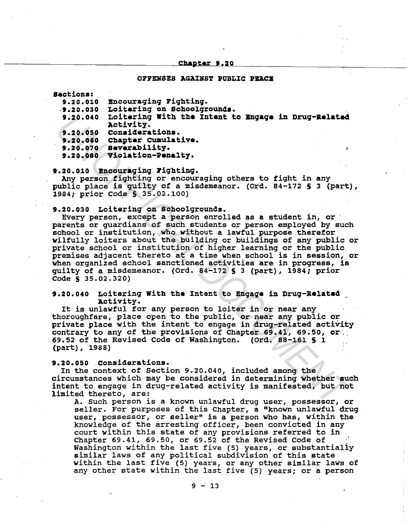#### Chapter 9.20

## OFFENSES AGAINST PUBLIC PEACE

Sections:

| 9.20.010 | <b>Encouraging Fighting.</b>                        |
|----------|-----------------------------------------------------|
| 9.20.030 | Loitering on Schoolgrounds.                         |
|          | Loitering With the Intent to Engage in Drug-Related |
| 9.20.040 | Activity.                                           |
| 9.20.050 | Considerations.                                     |
| 9.20.060 | Chapter Cumulative.                                 |
|          | 9.20.070 Severability.                              |
|          | 9.20.080 Violation-Penalty.                         |
|          |                                                     |

9.20.010 Encouraging Fighting.

Any person fighting or encouraging others to fight in any public place is guilty of a misdemeanor. (Ord. 84-172 S 3 (part), 1984; prior Code S 35.02.100)

9.20.030 Loitering on Schoolgrounds.

Every person, except a person enrolled as a student in, or parents or guardians of such students or person employed by such school or institution, who without a lawful purpose therefor wilfully loiters about the building or buildings of any public or private school or institution of higher learning or the public premises adjacent thereto at a time when school is in session, or when organized school sanctioned activities are in progress, is guilty of a misdemeanor. (Ord. 84-172 S 3 (part), 1984; prior  $Code$   $S$  35.02.320) 9.20.040 Loitering With the Intent to Engage in Drug-Related<br>
2.20.050 Considerations.<br>
9.20.060 Chapter Cumulative.<br>
9.20.060 Chapter Cumulative.<br>
9.20.060 Chapter Cumulative.<br>
9.20.060 Violation-Penalty.<br>
9.20.080 Violat

# 9.20.040 Loitering With tha Intent to Bngaga in Drug-Related Activity.

It is unlawful for any person to loiter in or near any thoroughfare, place open to the public, or near any public or .private place with the intent to engage in drug-related activity contrary to any of the provisions of Chapter 69.41, 69.50, or. (part), 1988)

# 9.20.050 considerations.

In the context of Section 9.20.040, included among the circumstances which may be considered in determining whether such intent to engage in drug-related activity is manifested, but not limited thereto, are:

A. such person is a known unlawful drug user, possessor, or seller. For purposes of this Chapter, a "known unlawful drug user, possessor, or seller" is a person who has, within the knowledge of the arresting.officer, been convicted in any court within this state of any provisions referred to in Chapter 69.41, 69.50, or 69.52 of the Revised Code of Washington within the last five (5) years, or substantialiy similar laws of any political subdivision of this state within the last five (5) years, or any other similar laws of any other state within the last five (5) years; or a person